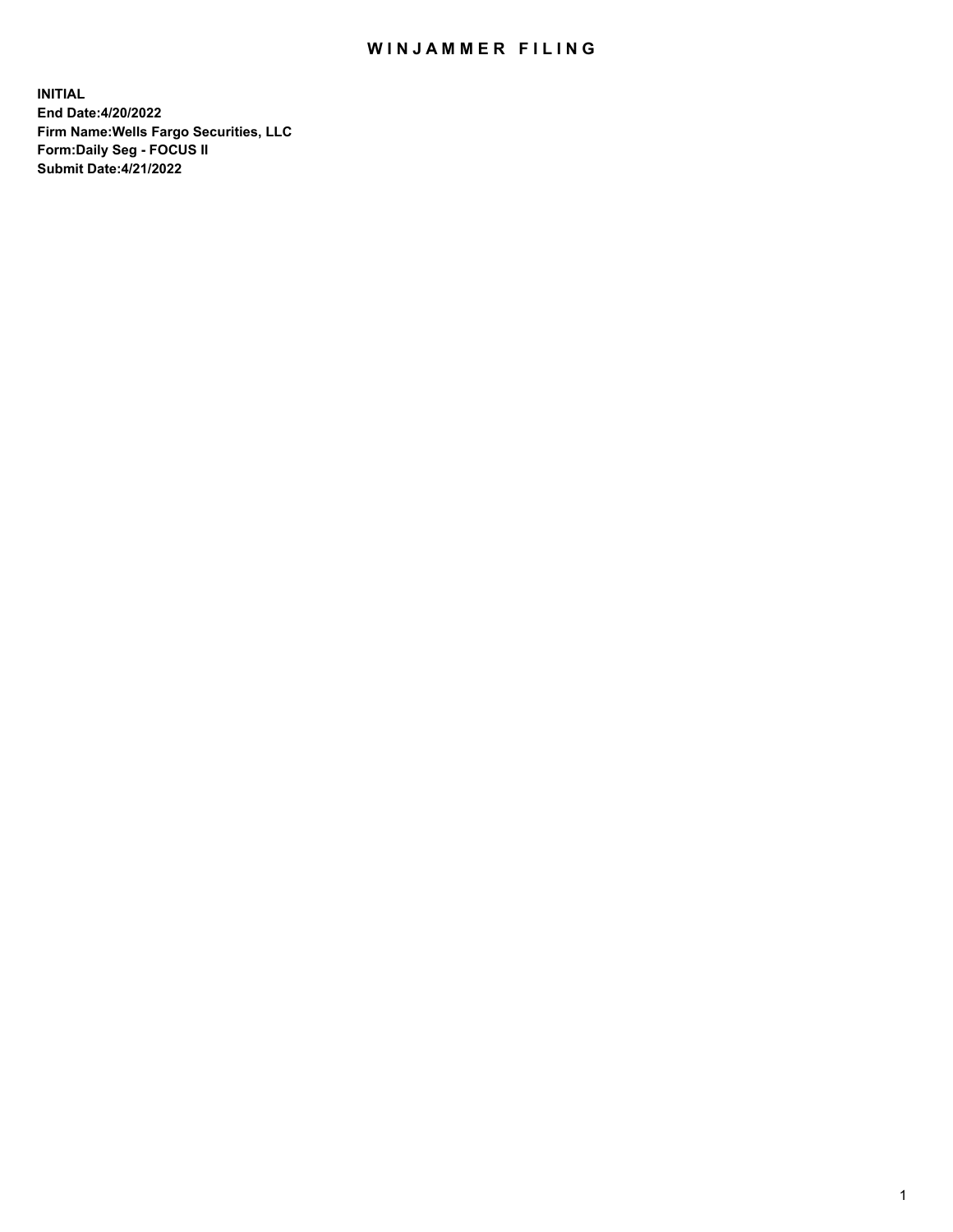## WIN JAMMER FILING

**INITIAL End Date:4/20/2022 Firm Name:Wells Fargo Securities, LLC Form:Daily Seg - FOCUS II Submit Date:4/21/2022**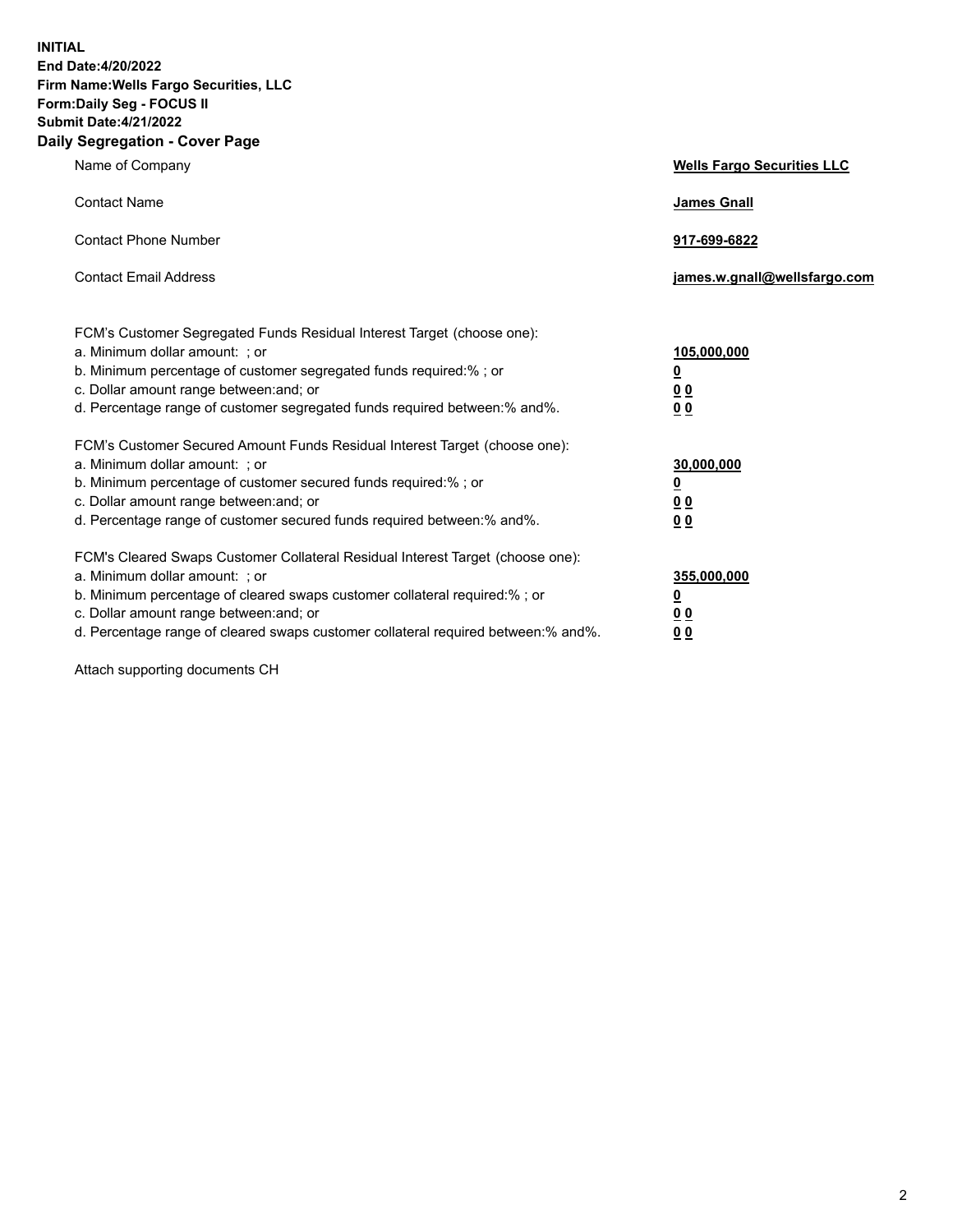**INITIAL End Date:4/20/2022 Firm Name:Wells Fargo Securities, LLC Form:Daily Seg - FOCUS II Submit Date:4/21/2022 Daily Segregation - Cover Page**

| Name of Company                                                                                                                                                                                                                                                                                                                | <b>Wells Fargo Securities LLC</b>                          |
|--------------------------------------------------------------------------------------------------------------------------------------------------------------------------------------------------------------------------------------------------------------------------------------------------------------------------------|------------------------------------------------------------|
| <b>Contact Name</b>                                                                                                                                                                                                                                                                                                            | <b>James Gnall</b>                                         |
| <b>Contact Phone Number</b>                                                                                                                                                                                                                                                                                                    | 917-699-6822                                               |
| <b>Contact Email Address</b>                                                                                                                                                                                                                                                                                                   | james.w.gnall@wellsfargo.com                               |
| FCM's Customer Segregated Funds Residual Interest Target (choose one):<br>a. Minimum dollar amount: ; or<br>b. Minimum percentage of customer segregated funds required:% ; or<br>c. Dollar amount range between: and; or<br>d. Percentage range of customer segregated funds required between:% and%.                         | 105,000,000<br><u>0</u><br>0 <sub>0</sub><br>00            |
| FCM's Customer Secured Amount Funds Residual Interest Target (choose one):<br>a. Minimum dollar amount: ; or<br>b. Minimum percentage of customer secured funds required:%; or<br>c. Dollar amount range between: and; or<br>d. Percentage range of customer secured funds required between:% and%.                            | 30,000,000<br><u>0</u><br>0 <sub>0</sub><br>0 <sub>0</sub> |
| FCM's Cleared Swaps Customer Collateral Residual Interest Target (choose one):<br>a. Minimum dollar amount: ; or<br>b. Minimum percentage of cleared swaps customer collateral required:% ; or<br>c. Dollar amount range between: and; or<br>d. Percentage range of cleared swaps customer collateral required between:% and%. | 355,000,000<br><u>0</u><br>00<br>00                        |

Attach supporting documents CH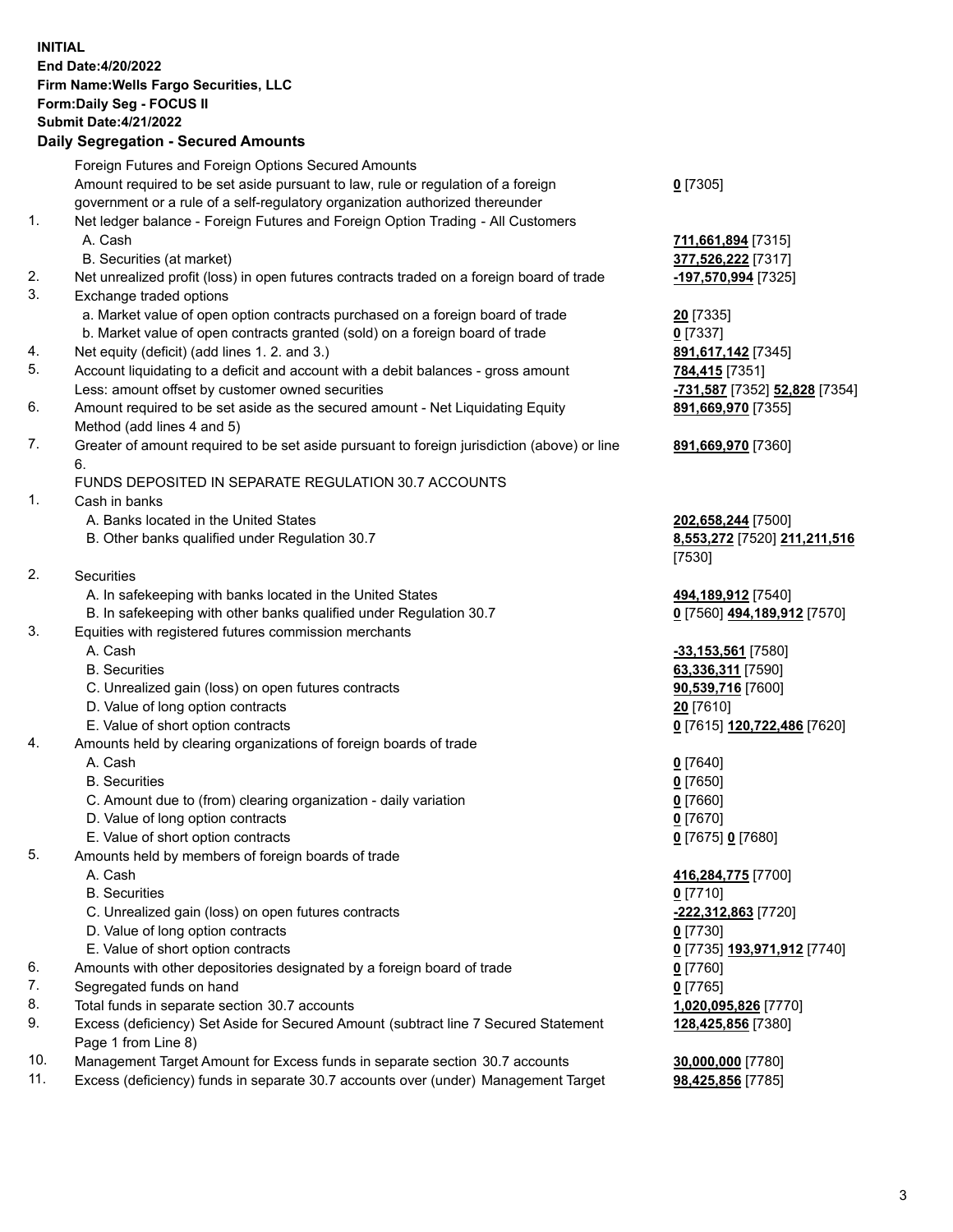**INITIAL End Date:4/20/2022 Firm Name:Wells Fargo Securities, LLC Form:Daily Seg - FOCUS II Submit Date:4/21/2022 Daily Segregation - Secured Amounts** Foreign Futures and Foreign Options Secured Amounts Amount required to be set aside pursuant to law, rule or regulation of a foreign

government or a rule of a self-regulatory organization authorized thereunder

## 1. Net ledger balance - Foreign Futures and Foreign Option Trading - All Customers A. Cash **711,661,894** [7315]

- B. Securities (at market) **377,526,222** [7317]
- 2. Net unrealized profit (loss) in open futures contracts traded on a foreign board of trade **-197,570,994** [7325]
- 3. Exchange traded options
	- a. Market value of open option contracts purchased on a foreign board of trade **20** [7335]
	- b. Market value of open contracts granted (sold) on a foreign board of trade **0** [7337]
- 4. Net equity (deficit) (add lines 1. 2. and 3.) **891,617,142** [7345]
- 5. Account liquidating to a deficit and account with a debit balances gross amount **784,415** [7351] Less: amount offset by customer owned securities **-731,587** [7352] **52,828** [7354]
- 6. Amount required to be set aside as the secured amount Net Liquidating Equity Method (add lines 4 and 5)
- 7. Greater of amount required to be set aside pursuant to foreign jurisdiction (above) or line 6.

## FUNDS DEPOSITED IN SEPARATE REGULATION 30.7 ACCOUNTS

- 1. Cash in banks
	- A. Banks located in the United States **202,658,244** [7500]
	- B. Other banks qualified under Regulation 30.7 **8,553,272** [7520] **211,211,516**
- 2. Securities
	- A. In safekeeping with banks located in the United States **494,189,912** [7540]
- B. In safekeeping with other banks qualified under Regulation 30.7 **0** [7560] **494,189,912** [7570]
- 3. Equities with registered futures commission merchants
	-
	-
	- C. Unrealized gain (loss) on open futures contracts **90,539,716** [7600]
	- D. Value of long option contracts **20** [7610]
	- E. Value of short option contracts **0** [7615] **120,722,486** [7620]
- 4. Amounts held by clearing organizations of foreign boards of trade
	- A. Cash **0** [7640]
	- B. Securities **0** [7650]
	- C. Amount due to (from) clearing organization daily variation **0** [7660]
	- D. Value of long option contracts **0** [7670]
	- E. Value of short option contracts **0** [7675] **0** [7680]
- 5. Amounts held by members of foreign boards of trade
	-
	- B. Securities **0** [7710]
	- C. Unrealized gain (loss) on open futures contracts **-222,312,863** [7720]
	- D. Value of long option contracts **0** [7730]
	- E. Value of short option contracts **0** [7735] **193,971,912** [7740]
- 6. Amounts with other depositories designated by a foreign board of trade **0** [7760]
- 7. Segregated funds on hand **0** [7765]
- 8. Total funds in separate section 30.7 accounts **1,020,095,826** [7770]
- 9. Excess (deficiency) Set Aside for Secured Amount (subtract line 7 Secured Statement Page 1 from Line 8)
- 10. Management Target Amount for Excess funds in separate section 30.7 accounts **30,000,000** [7780]
- 11. Excess (deficiency) funds in separate 30.7 accounts over (under) Management Target **98,425,856** [7785]

**0** [7305]

**891,669,970** [7355]

## **891,669,970** [7360]

[7530]

 A. Cash **-33,153,561** [7580] B. Securities **63,336,311** [7590]

A. Cash **416,284,775** [7700]

**128,425,856** [7380]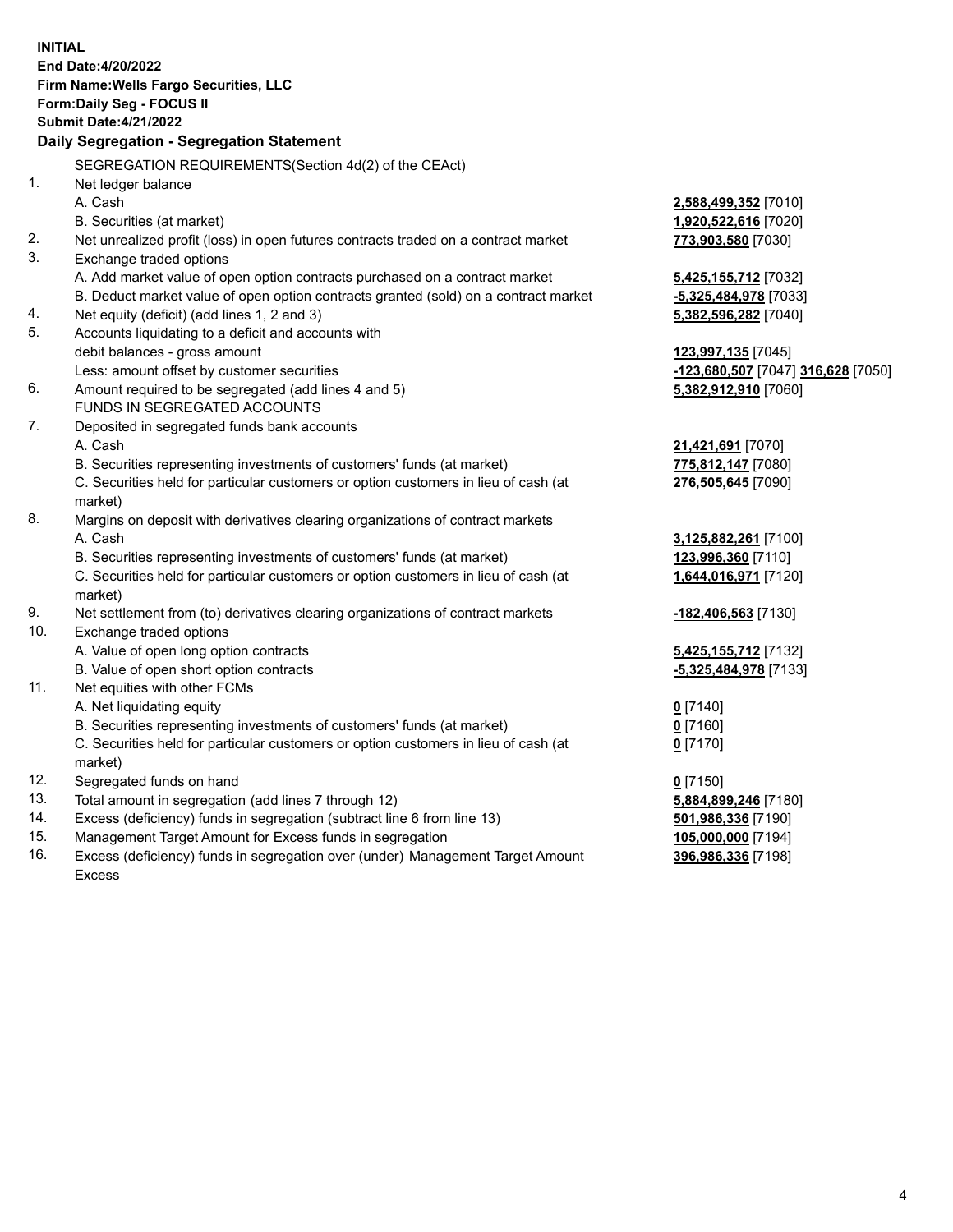**INITIAL End Date:4/20/2022 Firm Name:Wells Fargo Securities, LLC Form:Daily Seg - FOCUS II Submit Date:4/21/2022 Daily Segregation - Segregation Statement** SEGREGATION REQUIREMENTS(Section 4d(2) of the CEAct) 1. Net ledger balance A. Cash **2,588,499,352** [7010] B. Securities (at market) **1,920,522,616** [7020] 2. Net unrealized profit (loss) in open futures contracts traded on a contract market **773,903,580** [7030] 3. Exchange traded options A. Add market value of open option contracts purchased on a contract market **5,425,155,712** [7032] B. Deduct market value of open option contracts granted (sold) on a contract market **-5,325,484,978** [7033] 4. Net equity (deficit) (add lines 1, 2 and 3) **5,382,596,282** [7040] 5. Accounts liquidating to a deficit and accounts with debit balances - gross amount **123,997,135** [7045] Less: amount offset by customer securities **-123,680,507** [7047] **316,628** [7050] 6. Amount required to be segregated (add lines 4 and 5) **5,382,912,910** [7060] FUNDS IN SEGREGATED ACCOUNTS 7. Deposited in segregated funds bank accounts A. Cash **21,421,691** [7070] B. Securities representing investments of customers' funds (at market) **775,812,147** [7080] C. Securities held for particular customers or option customers in lieu of cash (at market) **276,505,645** [7090] 8. Margins on deposit with derivatives clearing organizations of contract markets A. Cash **3,125,882,261** [7100] B. Securities representing investments of customers' funds (at market) **123,996,360** [7110] C. Securities held for particular customers or option customers in lieu of cash (at market) **1,644,016,971** [7120] 9. Net settlement from (to) derivatives clearing organizations of contract markets **-182,406,563** [7130] 10. Exchange traded options A. Value of open long option contracts **5,425,155,712** [7132] B. Value of open short option contracts **-5,325,484,978** [7133] 11. Net equities with other FCMs A. Net liquidating equity **0** [7140] B. Securities representing investments of customers' funds (at market) **0** [7160] C. Securities held for particular customers or option customers in lieu of cash (at market) **0** [7170] 12. Segregated funds on hand **0** [7150] 13. Total amount in segregation (add lines 7 through 12) **5,884,899,246** [7180] 14. Excess (deficiency) funds in segregation (subtract line 6 from line 13) **501,986,336** [7190] 15. Management Target Amount for Excess funds in segregation **105,000,000** [7194] 16. Excess (deficiency) funds in segregation over (under) Management Target Amount Excess **396,986,336** [7198]